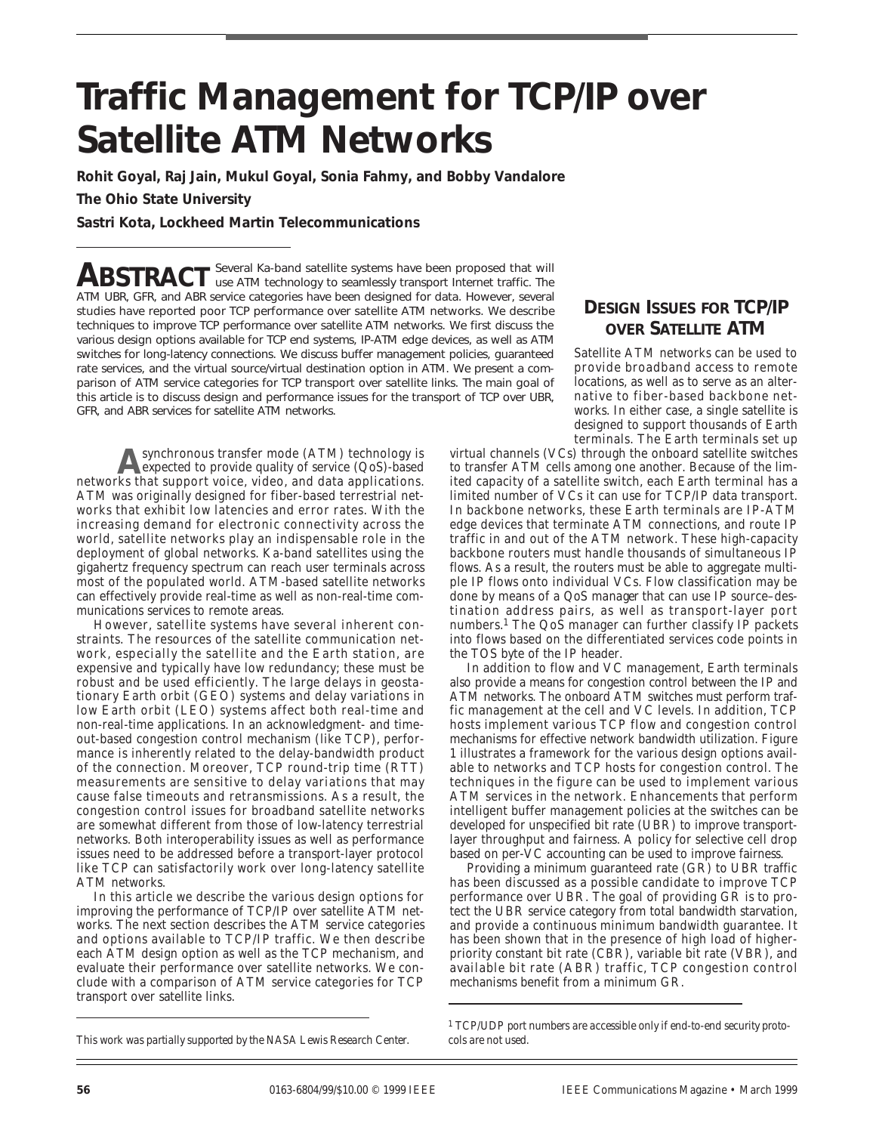# **Traffic Management for TCP/IP over Satellite ATM Networks**

*Rohit Goyal, Raj Jain, Mukul Goyal, Sonia Fahmy, and Bobby Vandalore*

*The Ohio State University*

*Sastri Kota, Lockheed Martin Telecommunications*

Several Ka-band satellite systems have been proposed that will ABSTRACT Several Ka-band satellite systems have been proposed that will all the ATM technology to seamlessly transport Internet traffic. The ATM UBR, GFR, and ABR service categories have been designed for data. However, several studies have reported poor TCP performance over satellite ATM networks. We describe techniques to improve TCP performance over satellite ATM networks. We first discuss the various design options available for TCP end systems, IP-ATM edge devices, as well as ATM switches for long-latency connections. We discuss buffer management policies, guaranteed rate services, and the virtual source/virtual destination option in ATM. We present a comparison of ATM service categories for TCP transport over satellite links. The main goal of this article is to discuss design and performance issues for the transport of TCP over UBR, GFR, and ABR services for satellite ATM networks.

synchronous transfer mode (ATM) technology is **A** synchronous transfer mode (ATM) technology is<br>expected to provide quality of service (QoS)-based<br>les that sunnert voice, video, and data applications networks that support voice, video, and data applications. ATM was originally designed for fiber-based terrestrial networks that exhibit low latencies and error rates. With the increasing demand for electronic connectivity across the world, satellite networks play an indispensable role in the deployment of global networks. Ka-band satellites using the gigahertz frequency spectrum can reach user terminals across most of the populated world. ATM-based satellite networks can effectively provide real-time as well as non-real-time communications services to remote areas.

However, satellite systems have several inherent constraints. The resources of the satellite communication network, especially the satellite and the Earth station, are expensive and typically have low redundancy; these must be robust and be used efficiently. The large delays in geostationary Earth orbit (GEO) systems and delay variations in low Earth orbit (LEO) systems affect both real-time and non-real-time applications. In an acknowledgment- and timeout-based congestion control mechanism (like TCP), performance is inherently related to the delay-bandwidth product of the connection. Moreover, TCP round-trip time (RTT) measurements are sensitive to delay variations that may cause false timeouts and retransmissions. As a result, the congestion control issues for broadband satellite networks are somewhat different from those of low-latency terrestrial networks. Both interoperability issues as well as performance issues need to be addressed before a transport-layer protocol like TCP can satisfactorily work over long-latency satellite ATM networks.

In this article we describe the various design options for improving the performance of TCP/IP over satellite ATM networks. The next section describes the ATM service categories and options available to TCP/IP traffic. We then describe each ATM design option as well as the TCP mechanism, and evaluate their performance over satellite networks. We conclude with a comparison of ATM service categories for TCP transport over satellite links.

## **DESIGN ISSUES FOR TCP/IP OVER SATELLITE ATM**

Satellite ATM networks can be used to provide broadband access to remote locations, as well as to serve as an alternative to fiber-based backbone networks. In either case, a single satellite is designed to support thousands of Earth terminals. The Earth terminals set up

virtual channels (VCs) through the onboard satellite switches to transfer ATM cells among one another. Because of the limited capacity of a satellite switch, each Earth terminal has a limited number of VCs it can use for TCP/IP data transport. In backbone networks, these Earth terminals are IP-ATM edge devices that terminate ATM connections, and route IP traffic in and out of the ATM network. These high-capacity backbone routers must handle thousands of simultaneous IP flows. As a result, the routers must be able to aggregate multiple IP flows onto individual VCs. Flow classification may be done by means of a *QoS manager* that can use IP source–destination address pairs, as well as transport-layer port numbers.<sup>1</sup> The QoS manager can further classify  $\overrightarrow{IP}$  packets into flows based on the differentiated services code points in the TOS byte of the IP header.

In addition to flow and VC management, Earth terminals also provide a means for congestion control between the IP and ATM networks. The onboard ATM switches must perform traffic management at the cell and VC levels. In addition, TCP hosts implement various TCP flow and congestion control mechanisms for effective network bandwidth utilization. Figure 1 illustrates a framework for the various design options available to networks and TCP hosts for congestion control. The techniques in the figure can be used to implement various ATM services in the network. Enhancements that perform intelligent buffer management policies at the switches can be developed for unspecified bit rate (UBR) to improve transportlayer throughput and fairness. A policy for selective cell drop based on per-VC accounting can be used to improve fairness.

Providing a minimum guaranteed rate (GR) to UBR traffic has been discussed as a possible candidate to improve TCP performance over UBR. The goal of providing  $G\dot{R}$  is to protect the UBR service category from total bandwidth starvation, and provide a continuous minimum bandwidth guarantee. It has been shown that in the presence of high load of higherpriority constant bit rate (CBR), variable bit rate (VBR), and available bit rate (ABR) traffic, TCP congestion control mechanisms benefit from a minimum GR.

*<sup>1</sup> TCP/UDP port numbers are accessible only if end-to-end security protocols are not used.*

*This work was partially supported by the NASA Lewis Research Center.*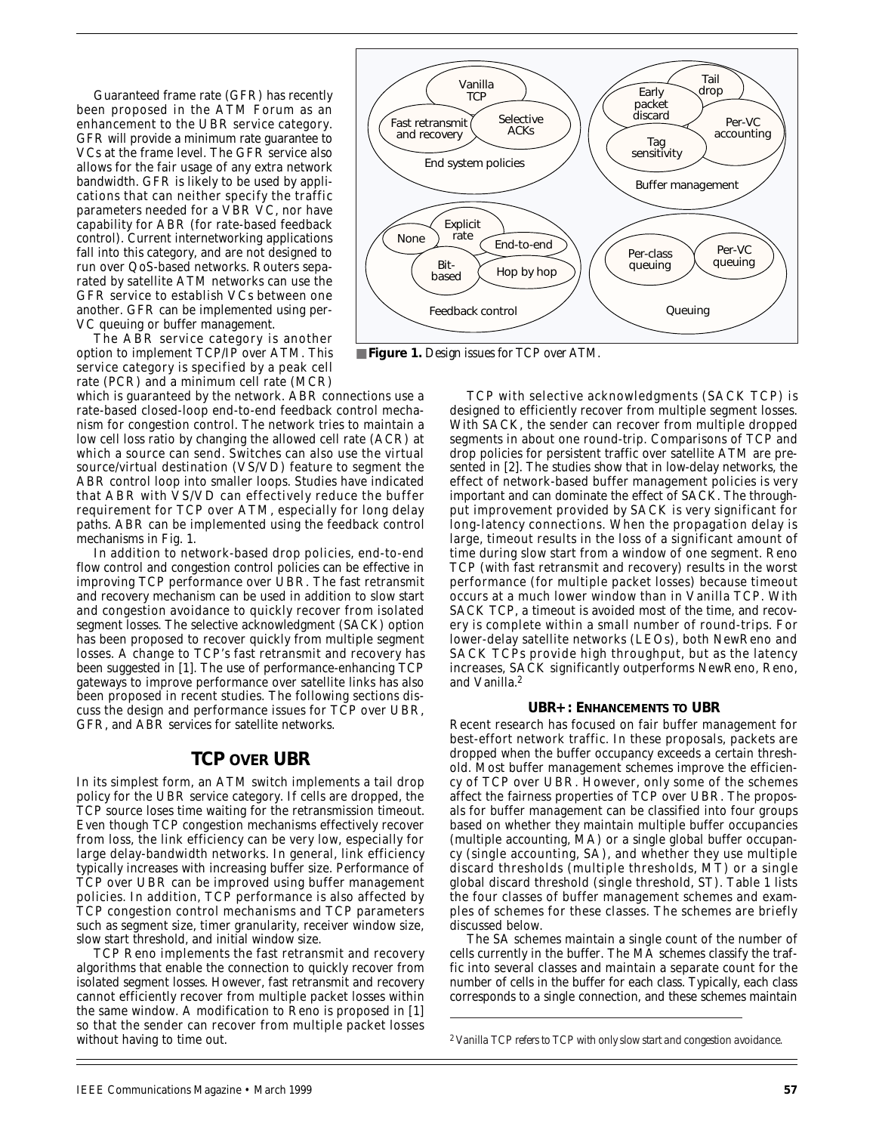Guaranteed frame rate (GFR) has recently been proposed in the ATM Forum as an enhancement to the UBR service category. GFR will provide a minimum rate guarantee to VCs at the frame level. The GFR service also allows for the fair usage of any extra network bandwidth. GFR is likely to be used by applications that can neither specify the traffic parameters needed for a VBR VC, nor have capability for ABR (for rate-based feedback control). Current internetworking applications fall into this category, and are not designed to run over QoS-based networks. Routers separated by satellite ATM networks can use the GFR service to establish VCs between one another. GFR can be implemented using per-VC queuing or buffer management.

The ABR service category is another option to implement TCP/IP over ATM. This service category is specified by a peak cell rate (PCR) and a minimum cell rate (MCR)

which is guaranteed by the network. ABR connections use a rate-based closed-loop end-to-end feedback control mechanism for congestion control. The network tries to maintain a low cell loss ratio by changing the allowed cell rate (ACR) at which a source can send. Switches can also use the virtual source/virtual destination (VS/VD) feature to segment the ABR control loop into smaller loops. Studies have indicated that ABR with VS/VD can effectively reduce the buffer requirement for TCP over ATM, especially for long delay paths. ABR can be implemented using the feedback control mechanisms in Fig. 1.

In addition to network-based drop policies, end-to-end flow control and congestion control policies can be effective in improving TCP performance over UBR. The fast retransmit and recovery mechanism can be used in addition to slow start and congestion avoidance to quickly recover from isolated segment losses. The selective acknowledgment (SACK) option has been proposed to recover quickly from multiple segment losses. A change to TCP's fast retransmit and recovery has been suggested in [1]. The use of performance-enhancing TCP gateways to improve performance over satellite links has also been proposed in recent studies. The following sections discuss the design and performance issues for TCP over UBR, GFR, and ABR services for satellite networks.

## **TCP OVER UBR**

In its simplest form, an ATM switch implements a tail drop policy for the UBR service category. If cells are dropped, the TCP source loses time waiting for the retransmission timeout. Even though TCP congestion mechanisms effectively recover from loss, the link efficiency can be very low, especially for large delay-bandwidth networks. In general, link efficiency typically increases with increasing buffer size. Performance of TCP over UBR can be improved using buffer management policies. In addition, TCP performance is also affected by TCP congestion control mechanisms and TCP parameters such as segment size, timer granularity, receiver window size, slow start threshold, and initial window size.

TCP Reno implements the fast retransmit and recovery algorithms that enable the connection to quickly recover from isolated segment losses. However, fast retransmit and recovery cannot efficiently recover from multiple packet losses within the same window. A modification to Reno is proposed in [1] so that the sender can recover from multiple packet losses without having to time out.



■ **Figure 1.** *Design issues for TCP over ATM.* 

TCP with selective acknowledgments (SACK TCP) is designed to efficiently recover from multiple segment losses. With SACK, the sender can recover from multiple dropped segments in about one round-trip. Comparisons of TCP and drop policies for persistent traffic over satellite ATM are presented in [2]. The studies show that in low-delay networks, the effect of network-based buffer management policies is very important and can dominate the effect of SACK. The throughput improvement provided by SACK is very significant for long-latency connections. When the propagation delay is large, timeout results in the loss of a significant amount of time during slow start from a window of one segment. Reno TCP (with fast retransmit and recovery) results in the worst performance (for multiple packet losses) because timeout occurs at a much lower window than in Vanilla TCP. With SACK TCP, a timeout is avoided most of the time, and recovery is complete within a small number of round-trips. For lower-delay satellite networks (LEOs), both NewReno and SACK TCPs provide high throughput, but as the latency increases, SACK significantly outperforms NewReno, Reno, and Vanilla.2

## **UBR+: ENHANCEMENTS TO UBR**

Recent research has focused on fair buffer management for best-effort network traffic. In these proposals, packets are dropped when the buffer occupancy exceeds a certain threshold. Most buffer management schemes improve the efficiency of TCP over UBR. However, only some of the schemes affect the fairness properties of TCP over UBR. The proposals for buffer management can be classified into four groups based on whether they maintain multiple buffer occupancies (multiple accounting, MA) or a single global buffer occupancy (single accounting, SA), and whether they use multiple discard thresholds (multiple thresholds, MT) or a single global discard threshold (single threshold, ST). Table 1 lists the four classes of buffer management schemes and examples of schemes for these classes. The schemes are briefly discussed below.

The SA schemes maintain a single count of the number of cells currently in the buffer. The MA schemes classify the traffic into several classes and maintain a separate count for the number of cells in the buffer for each class. Typically, each class corresponds to a single connection, and these schemes maintain

*<sup>2</sup> Vanilla TCP refers to TCP with only slow start and congestion avoidance.*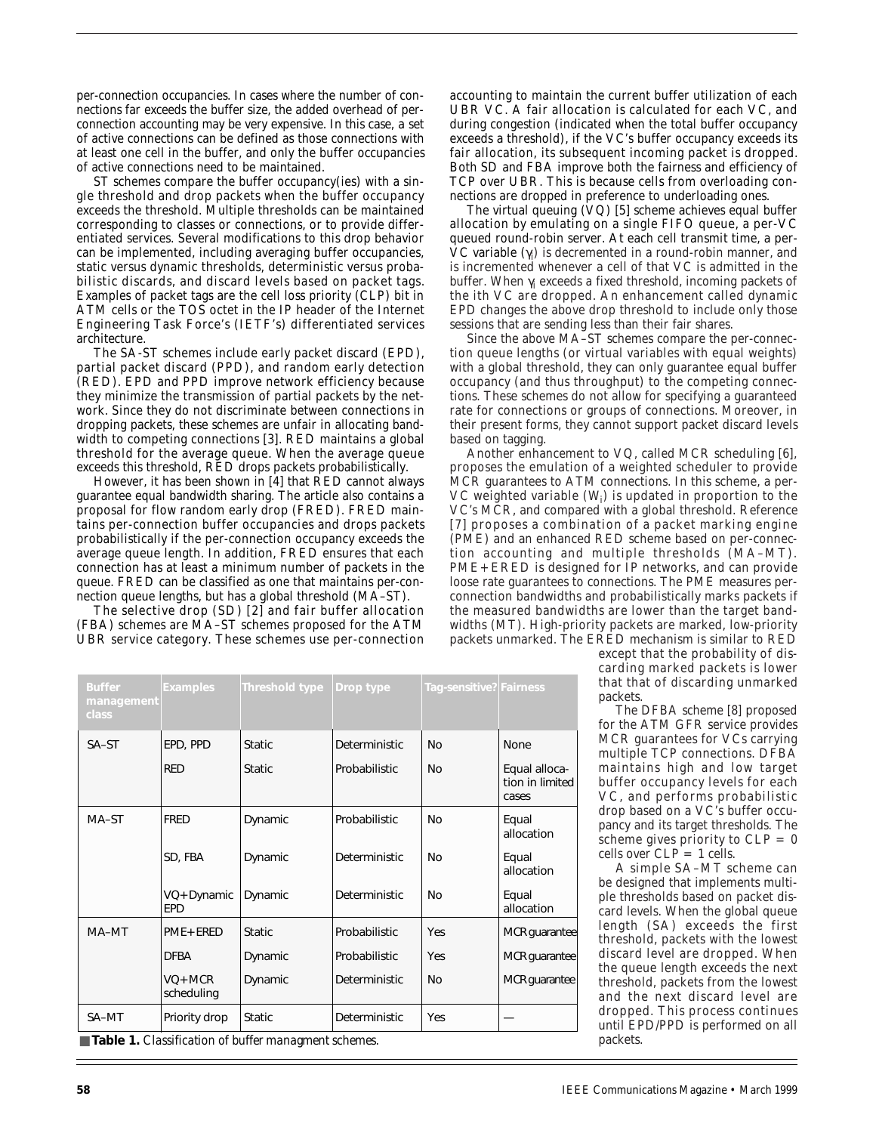per-connection occupancies. In cases where the number of connections far exceeds the buffer size, the added overhead of perconnection accounting may be very expensive. In this case, a set of active connections can be defined as those connections with at least one cell in the buffer, and only the buffer occupancies of active connections need to be maintained.

ST schemes compare the buffer occupancy(ies) with a single threshold and drop packets when the buffer occupancy exceeds the threshold. Multiple thresholds can be maintained corresponding to classes or connections, or to provide differentiated services. Several modifications to this drop behavior can be implemented, including averaging buffer occupancies, static versus dynamic thresholds, deterministic versus probabilistic discards, and discard levels based on packet tags. Examples of packet tags are the cell loss priority (CLP) bit in ATM cells or the TOS octet in the IP header of the Internet Engineering Task Force's (IETF's) differentiated services architecture.

The SA-ST schemes include early packet discard (EPD), partial packet discard (PPD), and random early detection (RED). EPD and PPD improve network efficiency because they minimize the transmission of partial packets by the network. Since they do not discriminate between connections in dropping packets, these schemes are unfair in allocating bandwidth to competing connections [3]. RED maintains a global threshold for the average queue. When the average queue exceeds this threshold, RED drops packets probabilistically.

However, it has been shown in [4] that RED cannot always guarantee equal bandwidth sharing. The article also contains a proposal for flow random early drop (FRED). FRED maintains per-connection buffer occupancies and drops packets probabilistically if the per-connection occupancy exceeds the average queue length. In addition, FRED ensures that each connection has at least a minimum number of packets in the queue. FRED can be classified as one that maintains per-connection queue lengths, but has a global threshold (MA–ST).

The selective drop (SD) [2] and fair buffer allocation (FBA) schemes are MA–ST schemes proposed for the ATM UBR service category. These schemes use per-connection accounting to maintain the current buffer utilization of each UBR VC. A fair allocation is calculated for each VC, and during congestion (indicated when the total buffer occupancy exceeds a threshold), if the VC's buffer occupancy exceeds its fair allocation, its subsequent incoming packet is dropped. Both SD and FBA improve both the fairness and efficiency of TCP over UBR. This is because cells from overloading connections are dropped in preference to underloading ones.

The virtual queuing (VQ) [5] scheme achieves equal buffer allocation by emulating on a single FIFO queue, a per-VC queued round-robin server. At each cell transmit time, a per-VC variable (γ*i*) is decremented in a round-robin manner, and is incremented whenever a cell of that VC is admitted in the buffer. When γ*<sup>i</sup>* exceeds a fixed threshold, incoming packets of the *i*th VC are dropped. An enhancement called *dynamic EPD* changes the above drop threshold to include only those sessions that are sending less than their fair shares.

Since the above MA–ST schemes compare the per-connection queue lengths (or virtual variables with equal weights) with a global threshold, they can only guarantee equal buffer occupancy (and thus throughput) to the competing connections. These schemes do not allow for specifying a guaranteed rate for connections or groups of connections. Moreover, in their present forms, they cannot support packet discard levels based on tagging.

Another enhancement to VQ, called MCR scheduling [6], proposes the emulation of a weighted scheduler to provide MCR guarantees to ATM connections. In this scheme, a per-VC weighted variable (*Wi*) is updated in proportion to the VC's MCR, and compared with a global threshold. Reference [7] proposes a combination of a packet marking engine (PME) and an enhanced RED scheme based on per-connection accounting and multiple thresholds (MA–MT). PME+ERED is designed for IP networks, and can provide loose rate guarantees to connections. The PME measures perconnection bandwidths and probabilistically marks packets if the measured bandwidths are lower than the target bandwidths (MT). High-priority packets are marked, low-priority packets unmarked. The ERED mechanism is similar to RED

| <b>Buffer</b><br>management<br><b>class</b> | <b>Examples</b>          | Threshold type | Drop type     | Tag-sensitive? Fairness |                                           |
|---------------------------------------------|--------------------------|----------------|---------------|-------------------------|-------------------------------------------|
| SA-ST                                       | EPD, PPD                 | <b>Static</b>  | Deterministic | <b>No</b>               | <b>None</b>                               |
|                                             | <b>RED</b>               | <b>Static</b>  | Probabilistic | <b>No</b>               | Equal alloca-<br>tion in limited<br>cases |
| MA-ST                                       | <b>FRED</b>              | Dynamic        | Probabilistic | No                      | Equal<br>allocation                       |
|                                             | SD, FBA                  | Dynamic        | Deterministic | <b>No</b>               | Equal<br>allocation                       |
|                                             | VQ+Dynamic<br><b>EPD</b> | Dynamic        | Deterministic | <b>No</b>               | Equal<br>allocation                       |
| MA-MT                                       | $PME + ERED$             | <b>Static</b>  | Probabilistic | Yes                     | MCR quarantee                             |
|                                             | <b>DFBA</b>              | Dynamic        | Probabilistic | Yes                     | MCR quarantee                             |
|                                             | $VO+MCR$<br>scheduling   | Dynamic        | Deterministic | No                      | MCR guarantee                             |
| SA-MT                                       | Priority drop            | Static         | Deterministic | Yes                     |                                           |

except that the probability of discarding marked packets is lower that that of discarding unmarked packets.

The DFBA scheme [8] proposed for the ATM GFR service provides MCR guarantees for VCs carrying multiple TCP connections. DFBA maintains high and low target buffer occupancy levels for each VC, and performs probabilistic drop based on a VC's buffer occupancy and its target thresholds. The scheme gives priority to  $CLP = 0$ cells over CLP = 1 cells.

A simple SA–MT scheme can be designed that implements multiple thresholds based on packet discard levels. When the global queue length (SA) exceeds the first threshold, packets with the lowest discard level are dropped. When the queue length exceeds the next threshold, packets from the lowest and the next discard level are dropped. This process continues until EPD/PPD is performed on all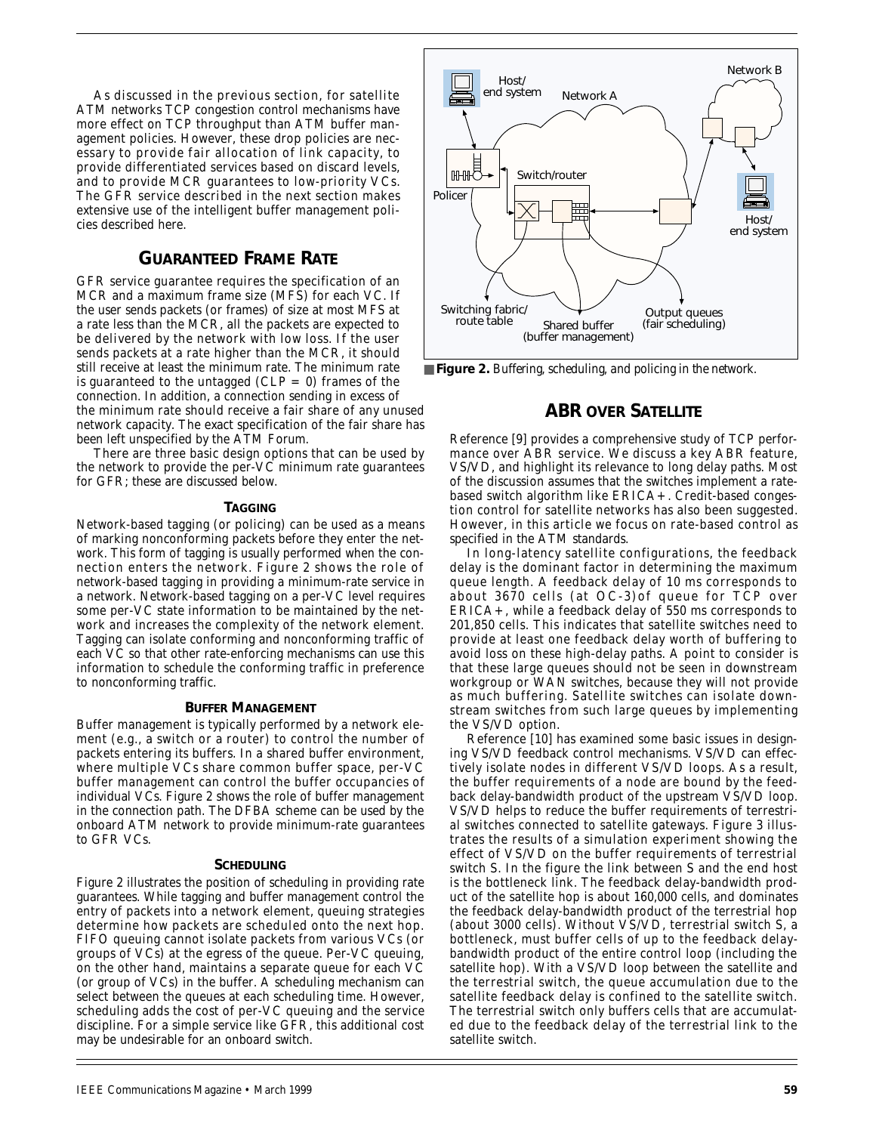As discussed in the previous section, for satellite ATM networks TCP congestion control mechanisms have more effect on TCP throughput than ATM buffer management policies. However, these drop policies are necessary to provide fair allocation of link capacity, to provide differentiated services based on discard levels, and to provide MCR guarantees to low-priority VCs. The GFR service described in the next section makes extensive use of the intelligent buffer management policies described here.

## **GUARANTEED FRAME RATE**

GFR service guarantee requires the specification of an MCR and a maximum frame size (MFS) for each VC. If the user sends packets (or frames) of size at most MFS at a rate less than the MCR, all the packets are expected to be delivered by the network with low loss. If the user sends packets at a rate higher than the MCR, it should still receive at least the minimum rate. The minimum rate is guaranteed to the untagged  $(CLP = 0)$  frames of the connection. In addition, a connection sending in excess of the minimum rate should receive a fair share of any unused network capacity. The exact specification of the fair share has been left unspecified by the ATM Forum.

There are three basic design options that can be used by the network to provide the per-VC minimum rate guarantees for GFR; these are discussed below.

#### **TAGGING**

Network-based tagging (or policing) can be used as a means of marking nonconforming packets before they enter the network. This form of tagging is usually performed when the connection enters the network. Figure 2 shows the role of network-based tagging in providing a minimum-rate service in a network. Network-based tagging on a per-VC level requires some per-VC state information to be maintained by the network and increases the complexity of the network element. Tagging can isolate conforming and nonconforming traffic of each VC so that other rate-enforcing mechanisms can use this information to schedule the conforming traffic in preference to nonconforming traffic.

### **BUFFER MANAGEMENT**

Buffer management is typically performed by a network element (e.g., a switch or a router) to control the number of packets entering its buffers. In a shared buffer environment, where multiple VCs share common buffer space, per-VC buffer management can control the buffer occupancies of individual VCs. Figure 2 shows the role of buffer management in the connection path. The DFBA scheme can be used by the onboard ATM network to provide minimum-rate guarantees to GFR VCs.

#### **SCHEDULING**

Figure 2 illustrates the position of scheduling in providing rate guarantees. While tagging and buffer management control the entry of packets into a network element, queuing strategies determine how packets are scheduled onto the next hop. FIFO queuing cannot isolate packets from various VCs (or groups of VCs) at the egress of the queue. Per-VC queuing, on the other hand, maintains a separate queue for each VC (or group of VCs) in the buffer. A scheduling mechanism can select between the queues at each scheduling time. However, scheduling adds the cost of per-VC queuing and the service discipline. For a simple service like GFR, this additional cost may be undesirable for an onboard switch.



■ **Figure 2.** *Buffering, scheduling, and policing in the network.* 

## **ABR OVER SATELLITE**

Reference [9] provides a comprehensive study of TCP performance over ABR service. We discuss a key ABR feature, VS/VD, and highlight its relevance to long delay paths. Most of the discussion assumes that the switches implement a ratebased switch algorithm like ERICA+. Credit-based congestion control for satellite networks has also been suggested. However, in this article we focus on rate-based control as specified in the ATM standards.

In long-latency satellite configurations, the feedback delay is the dominant factor in determining the maximum queue length. A feedback delay of 10 ms corresponds to about 3670 cells (at OC-3)of queue for TCP over ERICA+, while a feedback delay of 550 ms corresponds to 201,850 cells. This indicates that satellite switches need to provide at least one feedback delay worth of buffering to avoid loss on these high-delay paths. A point to consider is that these large queues should not be seen in downstream workgroup or WAN switches, because they will not provide as much buffering. Satellite switches can isolate downstream switches from such large queues by implementing the VS/VD option.

Reference [10] has examined some basic issues in designing VS/VD feedback control mechanisms. VS/VD can effectively isolate nodes in different VS/VD loops. As a result, the buffer requirements of a node are bound by the feedback delay-bandwidth product of the upstream VS/VD loop. VS/VD helps to reduce the buffer requirements of terrestrial switches connected to satellite gateways. Figure 3 illustrates the results of a simulation experiment showing the effect of VS/VD on the buffer requirements of terrestrial switch S. In the figure the link between S and the end host is the bottleneck link. The feedback delay-bandwidth product of the satellite hop is about 160,000 cells, and dominates the feedback delay-bandwidth product of the terrestrial hop (about 3000 cells). Without VS/VD, terrestrial switch S, a bottleneck, must buffer cells of up to the feedback delaybandwidth product of the entire control loop (including the satellite hop). With a VS/VD loop between the satellite and the terrestrial switch, the queue accumulation due to the satellite feedback delay is confined to the satellite switch. The terrestrial switch only buffers cells that are accumulated due to the feedback delay of the terrestrial link to the satellite switch.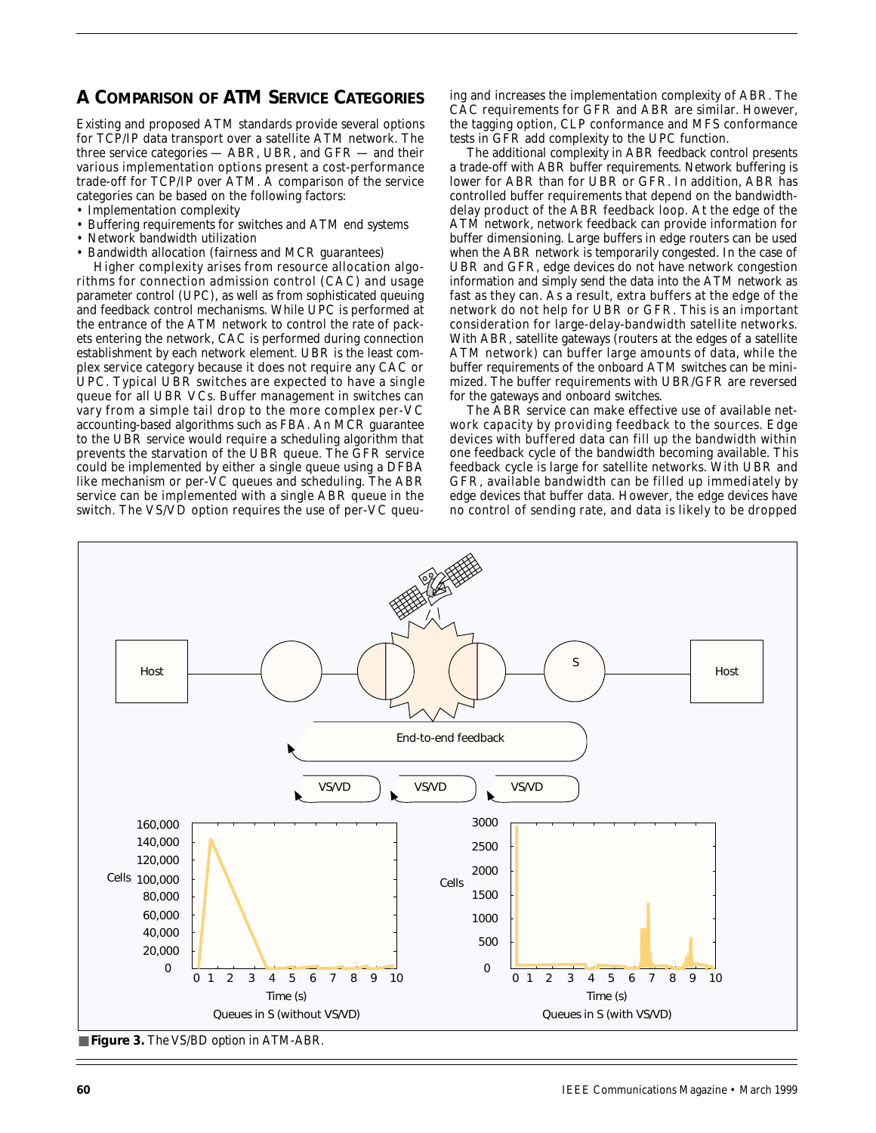# **A COMPARISON OF ATM SERVICE CATEGORIES**

Existing and proposed ATM standards provide several options for TCP/IP data transport over a satellite ATM network. The three service categories — ABR, UBR, and GFR — and their various implementation options present a cost-performance trade-off for TCP/IP over ATM. A comparison of the service categories can be based on the following factors:

- Implementation complexity
- Buffering requirements for switches and ATM end systems
- Network bandwidth utilization
- Bandwidth allocation (fairness and MCR guarantees)

Higher complexity arises from resource allocation algorithms for connection admission control (CAC) and usage parameter control (UPC), as well as from sophisticated queuing and feedback control mechanisms. While UPC is performed at the entrance of the ATM network to control the rate of packets entering the network, CAC is performed during connection establishment by each network element. UBR is the least complex service category because it does not require any CAC or UPC. Typical UBR switches are expected to have a single queue for all UBR VCs. Buffer management in switches can vary from a simple tail drop to the more complex per-VC accounting-based algorithms such as FBA. An MCR guarantee to the UBR service would require a scheduling algorithm that prevents the starvation of the UBR queue. The GFR service could be implemented by either a single queue using a DFBA like mechanism or per-VC queues and scheduling. The ABR service can be implemented with a single ABR queue in the switch. The VS/VD option requires the use of per-VC queuing and increases the implementation complexity of ABR. The CAC requirements for GFR and ABR are similar. However, the tagging option, CLP conformance and MFS conformance tests in GFR add complexity to the UPC function.

The additional complexity in ABR feedback control presents a trade-off with ABR buffer requirements. Network buffering is lower for ABR than for UBR or GFR. In addition, ABR has controlled buffer requirements that depend on the bandwidthdelay product of the ABR feedback loop. At the edge of the ATM network, network feedback can provide information for buffer dimensioning. Large buffers in edge routers can be used when the ABR network is temporarily congested. In the case of UBR and GFR, edge devices do not have network congestion information and simply send the data into the ATM network as fast as they can. As a result, extra buffers at the edge of the network do not help for UBR or GFR. This is an important consideration for large-delay-bandwidth satellite networks. With ABR, satellite gateways (routers at the edges of a satellite ATM network) can buffer large amounts of data, while the buffer requirements of the onboard ATM switches can be minimized. The buffer requirements with UBR/GFR are reversed for the gateways and onboard switches.

The ABR service can make effective use of available network capacity by providing feedback to the sources. Edge devices with buffered data can fill up the bandwidth within one feedback cycle of the bandwidth becoming available. This feedback cycle is large for satellite networks. With UBR and GFR, available bandwidth can be filled up immediately by edge devices that buffer data. However, the edge devices have no control of sending rate, and data is likely to be dropped



■ **Figure 3.** *The VS/BD option in ATM-ABR.*